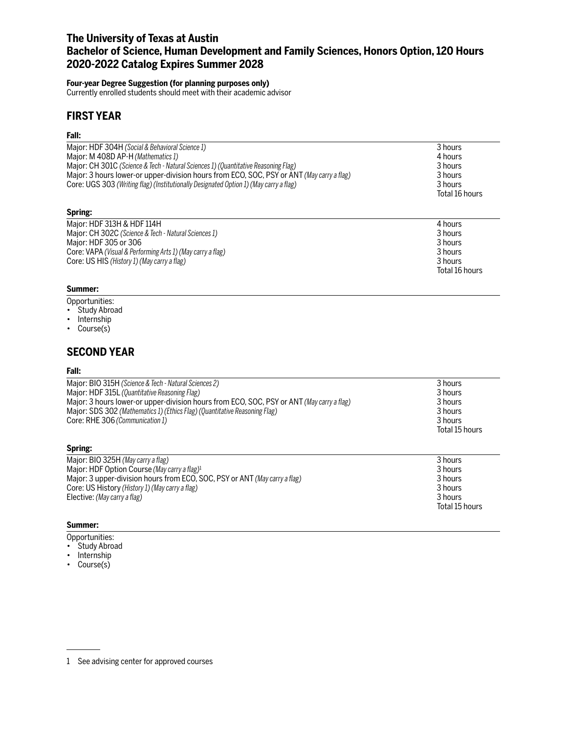## **The University of Texas at Austin Bachelor of Science, Human Development and Family Sciences, Honors Option, 120 Hours 2020-2022 Catalog Expires Summer 2028**

### **Four-year Degree Suggestion (for planning purposes only)**

Currently enrolled students should meet with their academic advisor

## **FIRST YEAR**

### **Fall:**

| Major: HDF 304H (Social & Behavioral Science 1)                                           | 3 hours        |  |
|-------------------------------------------------------------------------------------------|----------------|--|
| Major: M 408D AP-H (Mathematics 1)                                                        | 4 hours        |  |
| Major: CH 301C (Science & Tech - Natural Sciences 1) (Quantitative Reasoning Flag)        | 3 hours        |  |
| Major: 3 hours lower-or upper-division hours from ECO, SOC, PSY or ANT (May carry a flag) | 3 hours        |  |
| Core: UGS 303 (Writing flag) (Institutionally Designated Option 1) (May carry a flag)     | 3 hours        |  |
|                                                                                           | Total 16 hours |  |
| Spring:                                                                                   |                |  |
| Major: HDF 313H & HDF 114H                                                                | 4 hours        |  |
| Major: CH 302C (Science & Tech - Natural Sciences 1)                                      | 3 hours        |  |
| Major: HDF 305 or 306                                                                     | 3 hours        |  |
| Core: VAPA (Visual & Performing Arts 1) (May carry a flag)                                | 3 hours        |  |
| Core: US HIS (History 1) (May carry a flag)                                               | 3 hours        |  |

Total 16 hours

Total 15 hours

### **Summer:**

- Opportunities:
- Study Abroad

Core: US HIS (History 1) (May carry a flag)

- Internship
- Course(s)

## **SECOND YEAR**

### **Fall:**

| Major: BIO 315H (Science & Tech - Natural Sciences 2)                                     | 3 hours            |  |  |
|-------------------------------------------------------------------------------------------|--------------------|--|--|
| Major: HDF 315L (Quantitative Reasoning Flag)                                             | 3 hours<br>3 hours |  |  |
| Major: 3 hours lower-or upper-division hours from ECO, SOC, PSY or ANT (May carry a flag) |                    |  |  |
| Major: SDS 302 (Mathematics 1) (Ethics Flag) (Quantitative Reasoning Flag)                | 3 hours            |  |  |
| Core: RHE 306 (Communication 1)                                                           | 3 hours            |  |  |
|                                                                                           | Total 15 hours     |  |  |
| Spring:                                                                                   |                    |  |  |
| Major: BIO 325H (May carry a flag)                                                        | 3 hours            |  |  |
| Major: HDF Option Course (May carry a flag) <sup>1</sup>                                  | 3 hours            |  |  |
| Major: 3 upper-division hours from ECO, SOC, PSY or ANT (May carry a flag)                | 3 hours            |  |  |
| Core: US History (History 1) (May carry a flag)                                           | 3 hours            |  |  |
| Elective: (May carry a flag)                                                              | 3 hours            |  |  |

### **Summer:**

- Opportunities:
- Study Abroad
- Internship
- Course(s)

<sup>1</sup> See advising center for approved courses